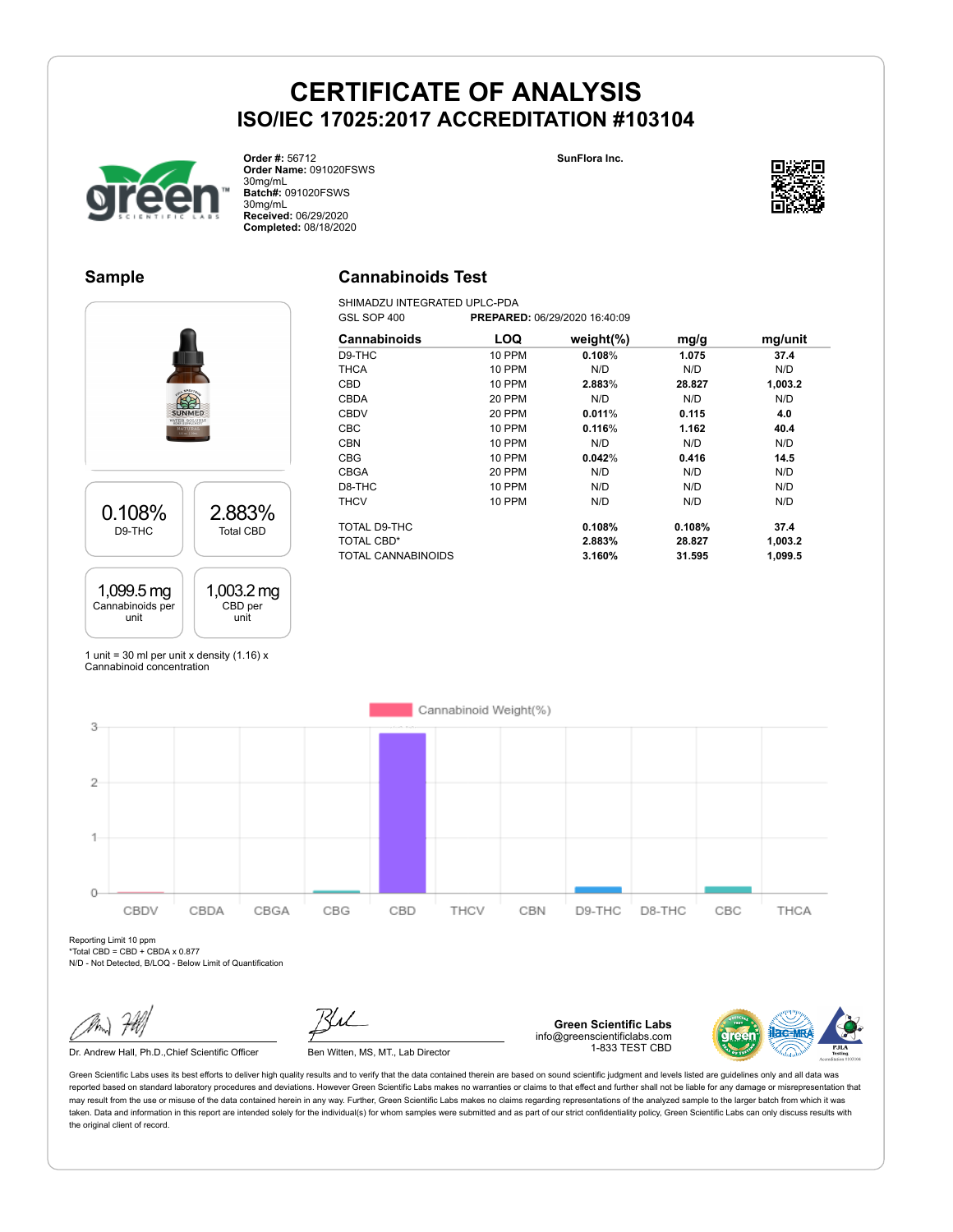**SunFlora Inc.**



**Order #:** 56712 **Order Name:** 091020FSWS 30mg/mL **Batch#:** 091020FSWS 30mg/mL **Received:** 06/29/2020 **Completed:** 08/18/2020

### **Sample**

# **Cannabinoids Test**

SHIMADZU INTEGRATED UPLC-PDA<br>GSL SOP 400 PREPARE GSL SOP 400 **PREPARED:** 06/29/2020 16:40:09



| Cannabinoids       | LOQ           | weight $(\%)$ | mg/g   | mg/unit |
|--------------------|---------------|---------------|--------|---------|
| D9-THC             | <b>10 PPM</b> | 0.108%        | 1.075  | 37.4    |
| <b>THCA</b>        | <b>10 PPM</b> | N/D           | N/D    | N/D     |
| <b>CBD</b>         | <b>10 PPM</b> | 2.883%        | 28.827 | 1,003.2 |
| CBDA               | 20 PPM        | N/D           | N/D    | N/D     |
| CBDV               | 20 PPM        | 0.011%        | 0.115  | 4.0     |
| <b>CBC</b>         | <b>10 PPM</b> | 0.116%        | 1.162  | 40.4    |
| <b>CBN</b>         | 10 PPM        | N/D           | N/D    | N/D     |
| <b>CBG</b>         | <b>10 PPM</b> | 0.042%        | 0.416  | 14.5    |
| <b>CBGA</b>        | 20 PPM        | N/D           | N/D    | N/D     |
| D8-THC             | <b>10 PPM</b> | N/D           | N/D    | N/D     |
| <b>THCV</b>        | <b>10 PPM</b> | N/D           | N/D    | N/D     |
| TOTAL D9-THC       |               | 0.108%        | 0.108% | 37.4    |
| <b>TOTAL CBD*</b>  |               | 2.883%        | 28.827 | 1,003.2 |
| TOTAL CANNABINOIDS |               | 3.160%        | 31.595 | 1,099.5 |

1 unit = 30 ml per unit x density  $(1.16)$  x Cannabinoid concentration



Reporting Limit 10 ppm  $*$ Total CBD = CBD + CBDA x 0.877

N/D - Not Detected, B/LOQ - Below Limit of Quantification

Dr. Andrew Hall, Ph.D., Chief Scientific Officer Ben Witten, MS, MT., Lab Director



**Green Scientific Labs** info@greenscientificlabs.com 1-833 TEST CBD



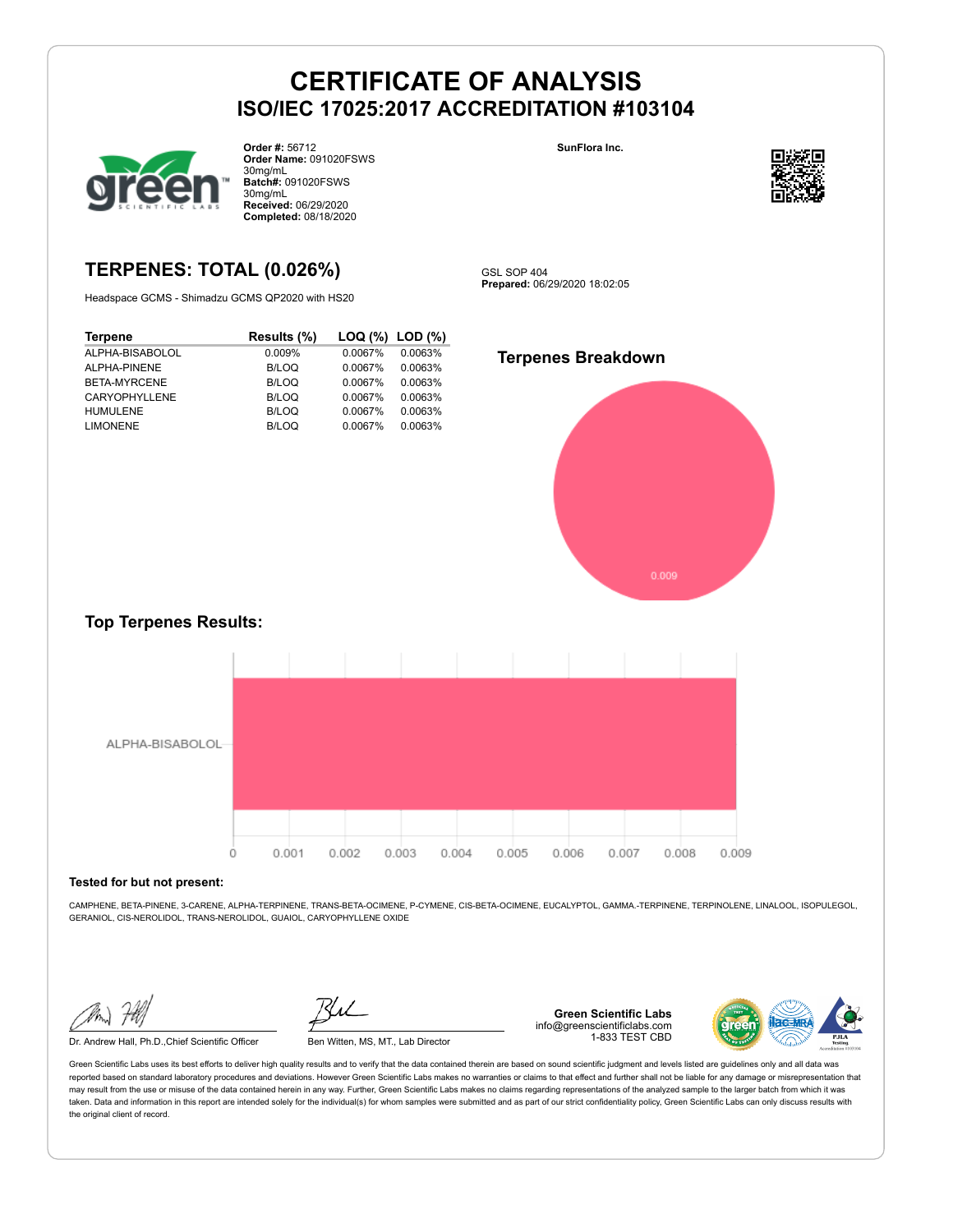

**Order #:** 56712 **Order Name:** 091020FSWS 30mg/mL **Batch#:** 091020FSWS 30mg/mL **Received:** 06/29/2020 **Completed:** 08/18/2020

# **TERPENES: TOTAL (0.026%)**

Headspace GCMS - Shimadzu GCMS QP2020 with HS20

| <b>Terpene</b>  | Results (%) | $\textsf{LOQ}$ (%) $\textsf{LOD}$ (%) |         |
|-----------------|-------------|---------------------------------------|---------|
| ALPHA-BISABOLOL | 0.009%      | 0.0067%                               | 0.0063% |
| ALPHA-PINENE    | B/LOQ       | 0.0067%                               | 0.0063% |
| BETA-MYRCENE    | B/LOQ       | 0.0067%                               | 0.0063% |
| CARYOPHYLLENE   | B/LOQ       | 0.0067%                               | 0.0063% |
| <b>HUMULENE</b> | B/LOQ       | 0.0067%                               | 0.0063% |
| <b>LIMONENE</b> | B/LOQ       | 0.0067%                               | 0.0063% |



**SunFlora Inc.**

GSL SOP 404 **Prepared:** 06/29/2020 18:02:05



### **Top Terpenes Results:**



#### **Tested for but not present:**

CAMPHENE, BETA-PINENE, 3-CARENE, ALPHA-TERPINENE, TRANS-BETA-OCIMENE, P-CYMENE, CIS-BETA-OCIMENE, EUCALYPTOL, GAMMA.-TERPINENE, TERPINOLENE, LINALOOL, ISOPULEGOL, GERANIOL, CIS-NEROLIDOL, TRANS-NEROLIDOL, GUAIOL, CARYOPHYLLENE OXIDE

Dr. Andrew Hall, Ph.D.,Chief Scientific Officer Ben Witten, MS, MT., Lab Director

**Green Scientific Labs** info@greenscientificlabs.com 1-833 TEST CBD

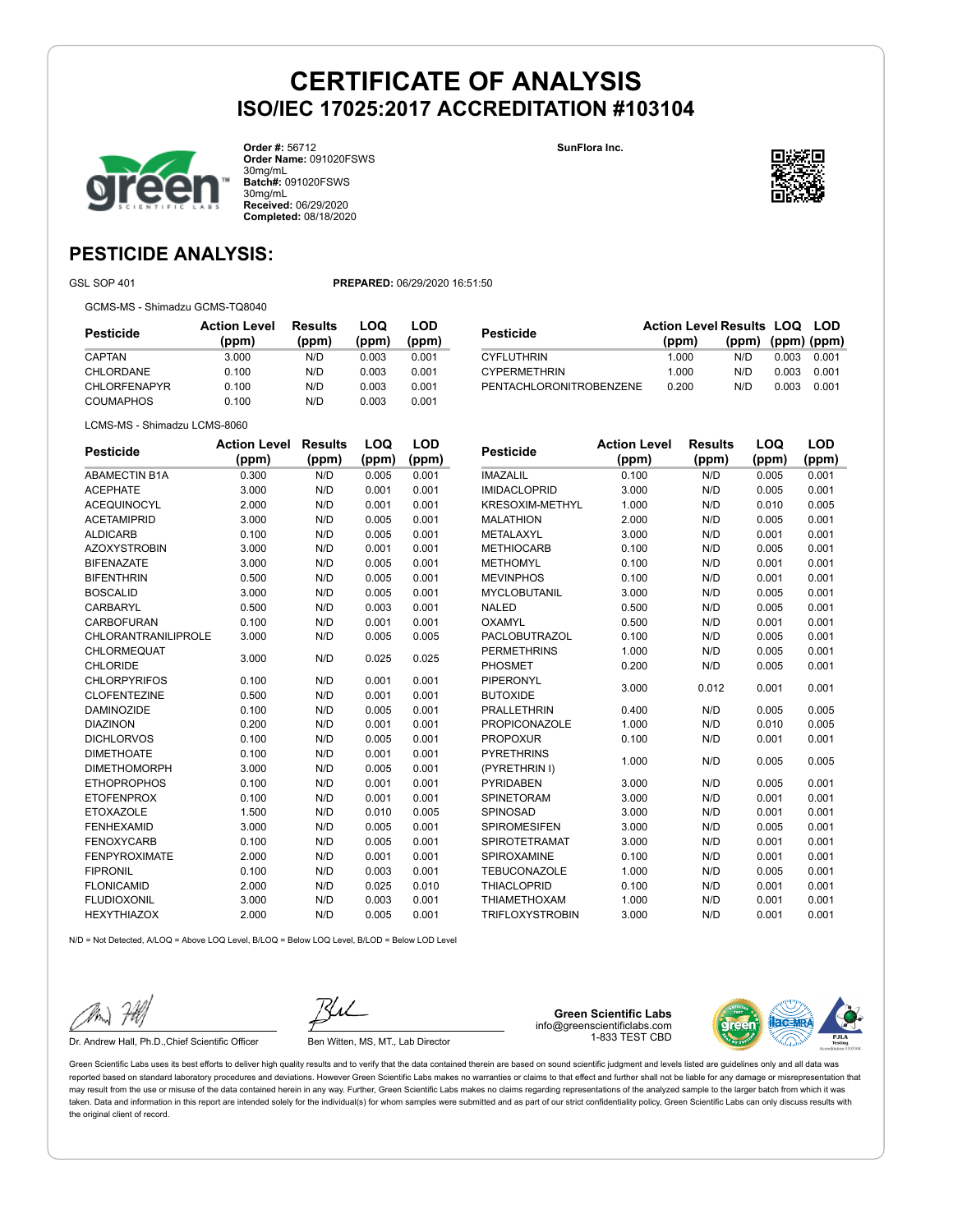**SunFlora Inc.**



**Order #:** 56712 **Order Name:** 091020FSWS 30mg/mL **Batch#:** 091020FSWS 30mg/mL **Received:** 06/29/2020 **Completed:** 08/18/2020

# **PESTICIDE ANALYSIS:**

GSL SOP 401 **PREPARED:** 06/29/2020 16:51:50

GCMS-MS - Shimadzu GCMS-TQ8040

| <b>Action Level</b><br>(ppm) | Results<br>(ppm) | LOQ<br>(ppm) | LOD<br>(ppm) |
|------------------------------|------------------|--------------|--------------|
| 3.000                        | N/D              | 0.003        | 0.001        |
| 0.100                        | N/D              | 0.003        | 0.001        |
| 0.100                        | N/D              | 0.003        | 0.001        |
| 0.100                        | N/D              | 0.003        | 0.001        |
|                              |                  |              |              |

| Pesticide               | <b>Action Level Results LOQ LOD</b><br>(ppm) | $(ppm)$ $(ppm)$ $(ppm)$ |       |       |
|-------------------------|----------------------------------------------|-------------------------|-------|-------|
| <b>CYFLUTHRIN</b>       | 1.000                                        | N/D.                    | 0.003 | 0.001 |
| <b>CYPERMETHRIN</b>     | 1.000                                        | N/D                     | 0.003 | 0.001 |
| PENTACHLORONITROBENZENE | 0.200                                        | N/D                     | 0.003 | 0.001 |

LCMS-MS - Shimadzu LCMS-8060

| <b>Pesticide</b>           | <b>Action Level</b> | <b>Results</b> | LOQ   | LOD   |
|----------------------------|---------------------|----------------|-------|-------|
|                            | (ppm)               | (ppm)          | (ppm) | (ppm) |
| <b>ABAMECTIN B1A</b>       | 0.300               | N/D            | 0.005 | 0.001 |
| <b>ACEPHATE</b>            | 3.000               | N/D            | 0.001 | 0.001 |
| <b>ACEQUINOCYL</b>         | 2.000               | N/D            | 0.001 | 0.001 |
| <b>ACETAMIPRID</b>         | 3.000               | N/D            | 0.005 | 0.001 |
| <b>ALDICARB</b>            | 0.100               | N/D            | 0.005 | 0.001 |
| <b>AZOXYSTROBIN</b>        | 3.000               | N/D            | 0.001 | 0.001 |
| <b>BIFENAZATE</b>          | 3.000               | N/D            | 0.005 | 0.001 |
| <b>BIFENTHRIN</b>          | 0.500               | N/D            | 0.005 | 0.001 |
| <b>BOSCALID</b>            | 3.000               | N/D            | 0.005 | 0.001 |
| CARBARYL                   | 0.500               | N/D            | 0.003 | 0.001 |
| <b>CARBOFURAN</b>          | 0.100               | N/D            | 0.001 | 0.001 |
| <b>CHLORANTRANILIPROLE</b> | 3.000               | N/D            | 0.005 | 0.005 |
| CHLORMEQUAT                | 3.000               | N/D            | 0.025 | 0.025 |
| <b>CHLORIDE</b>            |                     |                |       |       |
| <b>CHLORPYRIFOS</b>        | 0.100               | N/D            | 0.001 | 0.001 |
| <b>CLOFENTEZINE</b>        | 0.500               | N/D            | 0.001 | 0.001 |
| <b>DAMINOZIDE</b>          | 0.100               | N/D            | 0.005 | 0.001 |
| <b>DIAZINON</b>            | 0.200               | N/D            | 0.001 | 0.001 |
| <b>DICHLORVOS</b>          | 0.100               | N/D            | 0.005 | 0.001 |
| <b>DIMETHOATE</b>          | 0.100               | N/D            | 0.001 | 0.001 |
| <b>DIMETHOMORPH</b>        | 3.000               | N/D            | 0.005 | 0.001 |
| <b>ETHOPROPHOS</b>         | 0.100               | N/D            | 0.001 | 0.001 |
| <b>ETOFENPROX</b>          | 0.100               | N/D            | 0.001 | 0.001 |
| <b>ETOXAZOLE</b>           | 1.500               | N/D            | 0.010 | 0.005 |
| <b>FENHEXAMID</b>          | 3.000               | N/D            | 0.005 | 0.001 |
| <b>FENOXYCARB</b>          | 0.100               | N/D            | 0.005 | 0.001 |
| <b>FENPYROXIMATE</b>       | 2.000               | N/D            | 0.001 | 0.001 |
| <b>FIPRONIL</b>            | 0.100               | N/D            | 0.003 | 0.001 |
| <b>FLONICAMID</b>          | 2.000               | N/D            | 0.025 | 0.010 |
| <b>FLUDIOXONIL</b>         | 3.000               | N/D            | 0.003 | 0.001 |
| <b>HEXYTHIAZOX</b>         | 2.000               | N/D            | 0.005 | 0.001 |

| <b>Pesticide</b>       | <b>Action Level</b> | <b>Results</b> | LOQ   | LOD   |
|------------------------|---------------------|----------------|-------|-------|
|                        | (ppm)               | (ppm)          | (ppm) | (ppm) |
| <b>IMAZALIL</b>        | 0.100               | N/D            | 0.005 | 0.001 |
| <b>IMIDACLOPRID</b>    | 3.000               | N/D            | 0.005 | 0.001 |
| <b>KRESOXIM-METHYL</b> | 1.000               | N/D            | 0.010 | 0.005 |
| <b>MALATHION</b>       | 2.000               | N/D            | 0.005 | 0.001 |
| METALAXYL              | 3.000               | N/D            | 0.001 | 0.001 |
| <b>METHIOCARB</b>      | 0.100               | N/D            | 0.005 | 0.001 |
| <b>METHOMYL</b>        | 0.100               | N/D            | 0.001 | 0.001 |
| <b>MEVINPHOS</b>       | 0.100               | N/D            | 0.001 | 0.001 |
| <b>MYCLOBUTANIL</b>    | 3.000               | N/D            | 0.005 | 0.001 |
| <b>NALED</b>           | 0.500               | N/D            | 0.005 | 0.001 |
| <b>OXAMYL</b>          | 0.500               | N/D            | 0.001 | 0.001 |
| <b>PACLOBUTRAZOL</b>   | 0.100               | N/D            | 0.005 | 0.001 |
| <b>PERMETHRINS</b>     | 1.000               | N/D            | 0.005 | 0.001 |
| PHOSMET                | 0.200               | N/D            | 0.005 | 0.001 |
| <b>PIPERONYL</b>       | 3.000               | 0.012          | 0.001 | 0.001 |
| <b>BUTOXIDE</b>        |                     |                |       |       |
| <b>PRALLETHRIN</b>     | 0.400               | N/D            | 0.005 | 0.005 |
| <b>PROPICONAZOLE</b>   | 1.000               | N/D            | 0.010 | 0.005 |
| <b>PROPOXUR</b>        | 0.100               | N/D            | 0.001 | 0.001 |
| <b>PYRETHRINS</b>      | 1.000               | N/D            | 0.005 | 0.005 |
| (PYRETHRIN I)          |                     |                |       |       |
| <b>PYRIDABEN</b>       | 3.000               | N/D            | 0.005 | 0.001 |
| <b>SPINETORAM</b>      | 3.000               | N/D            | 0.001 | 0.001 |
| SPINOSAD               | 3.000               | N/D            | 0.001 | 0.001 |
| <b>SPIROMESIFEN</b>    | 3.000               | N/D            | 0.005 | 0.001 |
| <b>SPIROTETRAMAT</b>   | 3.000               | N/D            | 0.001 | 0.001 |
| SPIROXAMINE            | 0.100               | N/D            | 0.001 | 0.001 |
| <b>TEBUCONAZOLE</b>    | 1.000               | N/D            | 0.005 | 0.001 |
| <b>THIACLOPRID</b>     | 0.100               | N/D            | 0.001 | 0.001 |
| <b>THIAMETHOXAM</b>    | 1.000               | N/D            | 0.001 | 0.001 |
| <b>TRIFLOXYSTROBIN</b> | 3.000               | N/D            | 0.001 | 0.001 |

N/D = Not Detected, A/LOQ = Above LOQ Level, B/LOQ = Below LOQ Level, B/LOD = Below LOD Level

Dr. Andrew Hall, Ph.D., Chief Scientific Officer Ben Witten, MS, MT., Lab Director

**Green Scientific Labs** info@greenscientificlabs.com 1-833 TEST CBD

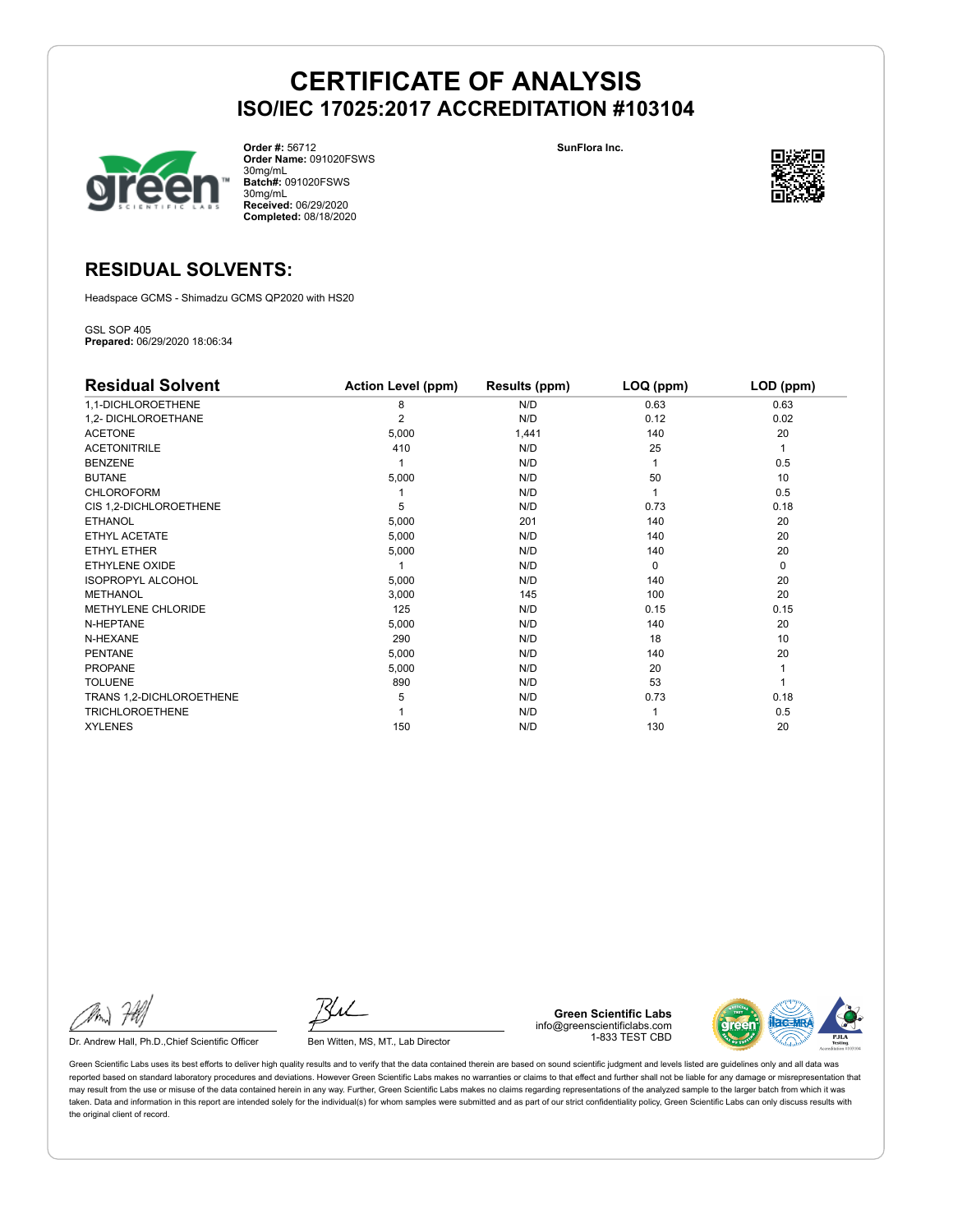

**Order #:** 56712 **Order Name:** 091020FSWS 30mg/mL **Batch#:** 091020FSWS 30mg/mL **Received:** 06/29/2020 **Completed:** 08/18/2020

**SunFlora Inc.**



# **RESIDUAL SOLVENTS:**

Headspace GCMS - Shimadzu GCMS QP2020 with HS20

GSL SOP 405 **Prepared:** 06/29/2020 18:06:34

| <b>Residual Solvent</b>  | <b>Action Level (ppm)</b> | Results (ppm) | LOQ (ppm) | LOD (ppm) |
|--------------------------|---------------------------|---------------|-----------|-----------|
| 1,1-DICHLOROETHENE       | 8                         | N/D           | 0.63      | 0.63      |
| 1,2- DICHLOROETHANE      | $\overline{2}$            | N/D           | 0.12      | 0.02      |
| <b>ACETONE</b>           | 5,000                     | 1,441         | 140       | 20        |
| <b>ACETONITRILE</b>      | 410                       | N/D           | 25        | 1         |
| <b>BENZENE</b>           |                           | N/D           |           | 0.5       |
| <b>BUTANE</b>            | 5,000                     | N/D           | 50        | 10        |
| <b>CHLOROFORM</b>        |                           | N/D           |           | 0.5       |
| CIS 1,2-DICHLOROETHENE   | 5                         | N/D           | 0.73      | 0.18      |
| <b>ETHANOL</b>           | 5,000                     | 201           | 140       | 20        |
| ETHYL ACETATE            | 5,000                     | N/D           | 140       | 20        |
| <b>ETHYL ETHER</b>       | 5,000                     | N/D           | 140       | 20        |
| ETHYLENE OXIDE           |                           | N/D           | $\Omega$  | 0         |
| <b>ISOPROPYL ALCOHOL</b> | 5,000                     | N/D           | 140       | 20        |
| <b>METHANOL</b>          | 3,000                     | 145           | 100       | 20        |
| METHYLENE CHLORIDE       | 125                       | N/D           | 0.15      | 0.15      |
| N-HEPTANE                | 5,000                     | N/D           | 140       | 20        |
| N-HEXANE                 | 290                       | N/D           | 18        | 10        |
| <b>PENTANE</b>           | 5,000                     | N/D           | 140       | 20        |
| PROPANE                  | 5,000                     | N/D           | 20        |           |
| <b>TOLUENE</b>           | 890                       | N/D           | 53        |           |
| TRANS 1,2-DICHLOROETHENE | 5                         | N/D           | 0.73      | 0.18      |
| <b>TRICHLOROETHENE</b>   |                           | N/D           |           | 0.5       |
| <b>XYLENES</b>           | 150                       | N/D           | 130       | 20        |

Dr. Andrew Hall, Ph.D., Chief Scientific Officer Ben Witten, MS, MT., Lab Director

**Green Scientific Labs** info@greenscientificlabs.com 1-833 TEST CBD

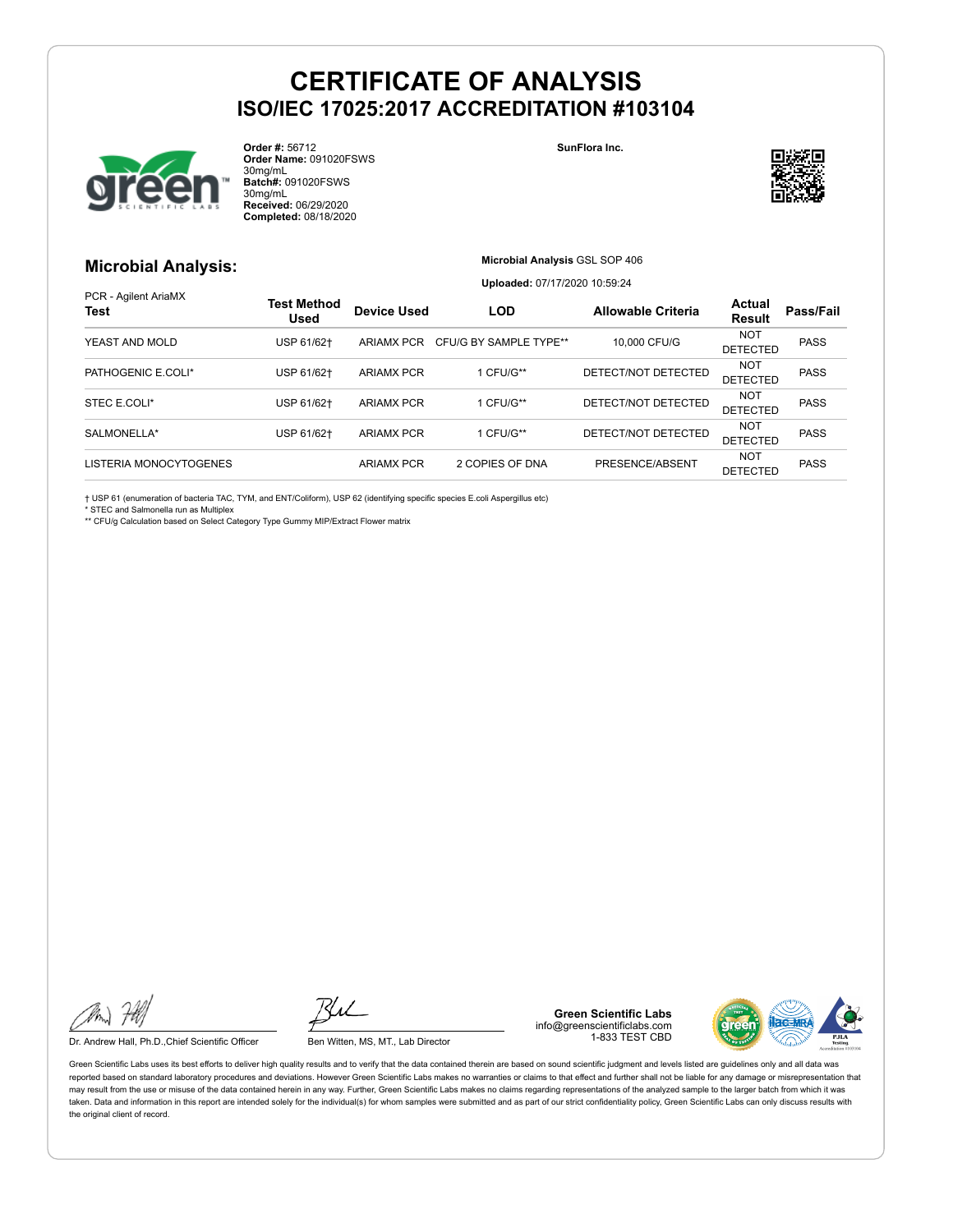

**Order #:** 56712 **Order Name:** 091020FSWS 30mg/mL **Batch#:** 091020FSWS 30mg/mL **Received:** 06/29/2020 **Completed:** 08/18/2020

#### **SunFlora Inc.**



## **Microbial Analysis:**

**Microbial Analysis** GSL SOP 406

**Uploaded:** 07/17/2020 10:59:24

| PCR - Agilent AriaMX<br><b>Test</b> | <b>Test Method</b><br><b>Used</b> | <b>Device Used</b> | <b>LOD</b>                        | <b>Allowable Criteria</b> | Actual<br><b>Result</b>       | Pass/Fail   |
|-------------------------------------|-----------------------------------|--------------------|-----------------------------------|---------------------------|-------------------------------|-------------|
| YEAST AND MOLD                      | USP 61/62+                        |                    | ARIAMX PCR CFU/G BY SAMPLE TYPE** | 10,000 CFU/G              | <b>NOT</b><br><b>DETECTED</b> | <b>PASS</b> |
| PATHOGENIC E.COLI*                  | USP 61/62+                        | <b>ARIAMX PCR</b>  | 1 CFU/G**                         | DETECT/NOT DETECTED       | <b>NOT</b><br><b>DETECTED</b> | <b>PASS</b> |
| STEC E.COLI*                        | USP 61/62+                        | <b>ARIAMX PCR</b>  | 1 CFU/G**                         | DETECT/NOT DETECTED       | NOT<br><b>DETECTED</b>        | <b>PASS</b> |
| SALMONELLA*                         | USP 61/62+                        | <b>ARIAMX PCR</b>  | 1 CFU/G**                         | DETECT/NOT DETECTED       | NOT<br><b>DETECTED</b>        | <b>PASS</b> |
| LISTERIA MONOCYTOGENES              |                                   | <b>ARIAMX PCR</b>  | 2 COPIES OF DNA                   | PRESENCE/ABSENT           | <b>NOT</b><br><b>DETECTED</b> | <b>PASS</b> |

† USP 61 (enumeration of bacteria TAC, TYM, and ENT/Coliform), USP 62 (identifying specific species E.coli Aspergillus etc)

\* STEC and Salmonella run as Multiplex

\*\* CFU/g Calculation based on Select Category Type Gummy MIP/Extract Flower matrix

Dr. Andrew Hall, Ph.D., Chief Scientific Officer Ben Witten, MS, MT., Lab Director

**Green Scientific Labs** info@greenscientificlabs.com 1-833 TEST CBD